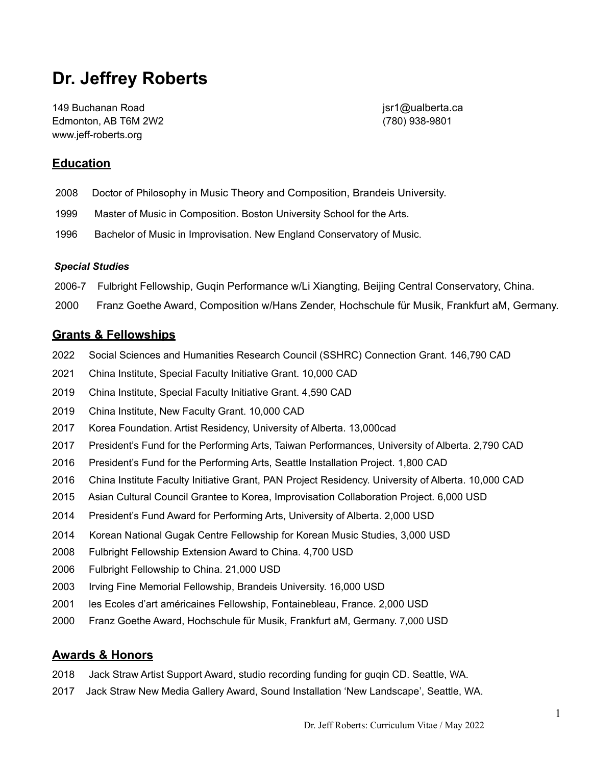# **Dr. Jeffrey Roberts**

149 Buchanan Road jsr1@ualberta.ca Edmonton, AB T6M 2W2 (780) 938-9801 www.jeff-roberts.org

# **Education**

- 2008 Doctor of Philosophy in Music Theory and Composition, Brandeis University.
- 1999 Master of Music in Composition. Boston University School for the Arts.
- 1996 Bachelor of Music in Improvisation. New England Conservatory of Music.

#### *Special Studies*

- 2006-7 Fulbright Fellowship, Guqin Performance w/Li Xiangting, Beijing Central Conservatory, China.
- 2000 Franz Goethe Award, Composition w/Hans Zender, Hochschule für Musik, Frankfurt aM, Germany.

## **Grants & Fellowships**

- 2022 Social Sciences and Humanities Research Council (SSHRC) Connection Grant. 146,790 CAD
- 2021 China Institute, Special Faculty Initiative Grant. 10,000 CAD
- 2019 China Institute, Special Faculty Initiative Grant. 4,590 CAD
- 2019 China Institute, New Faculty Grant. 10,000 CAD
- 2017 Korea Foundation. Artist Residency, University of Alberta. 13,000cad
- 2017 President's Fund for the Performing Arts, Taiwan Performances, University of Alberta. 2,790 CAD
- 2016 President's Fund for the Performing Arts, Seattle Installation Project. 1,800 CAD
- 2016 China Institute Faculty Initiative Grant, PAN Project Residency. University of Alberta. 10,000 CAD
- 2015 Asian Cultural Council Grantee to Korea, Improvisation Collaboration Project. 6,000 USD
- 2014 President's Fund Award for Performing Arts, University of Alberta. 2,000 USD
- 2014 Korean National Gugak Centre Fellowship for Korean Music Studies, 3,000 USD
- 2008 Fulbright Fellowship Extension Award to China. 4,700 USD
- 2006 Fulbright Fellowship to China. 21,000 USD
- 2003 Irving Fine Memorial Fellowship, Brandeis University. 16,000 USD
- 2001 les Ecoles d'art américaines Fellowship, Fontainebleau, France. 2,000 USD
- 2000 Franz Goethe Award, Hochschule für Musik, Frankfurt aM, Germany. 7,000 USD

# **Awards & Honors**

- 2018 Jack Straw Artist Support Award, studio recording funding for guqin CD. Seattle, WA.
- 2017 Jack Straw New Media Gallery Award, Sound Installation 'New Landscape', Seattle, WA.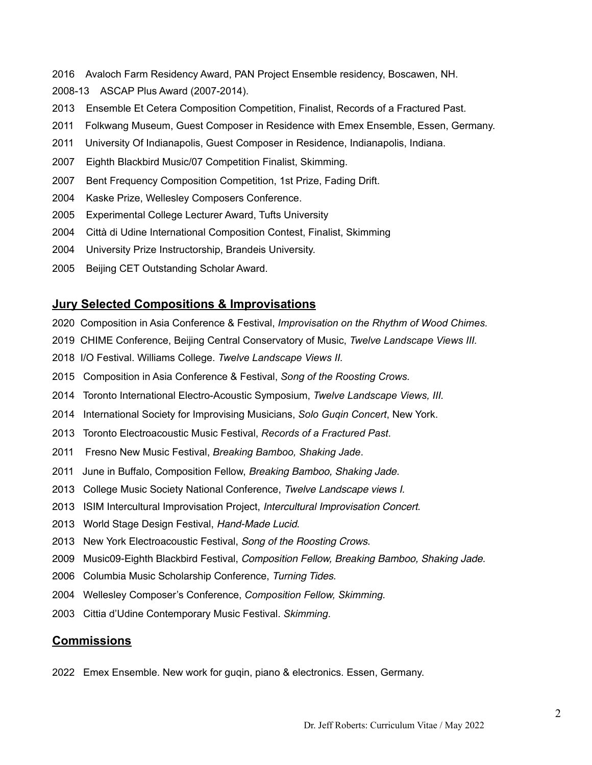- 2016 Avaloch Farm Residency Award, PAN Project Ensemble residency, Boscawen, NH.
- 2008-13 ASCAP Plus Award (2007-2014).
- 2013 Ensemble Et Cetera Composition Competition, Finalist, Records of a Fractured Past.
- 2011 Folkwang Museum, Guest Composer in Residence with Emex Ensemble, Essen, Germany.
- 2011 University Of Indianapolis, Guest Composer in Residence, Indianapolis, Indiana.
- 2007 Eighth Blackbird Music/07 Competition Finalist, Skimming.
- 2007 Bent Frequency Composition Competition, 1st Prize, Fading Drift.
- 2004 Kaske Prize, Wellesley Composers Conference.
- 2005 Experimental College Lecturer Award, Tufts University
- 2004 Città di Udine International Composition Contest, Finalist, Skimming
- 2004 University Prize Instructorship, Brandeis University.
- 2005 Beijing CET Outstanding Scholar Award.

#### **Jury Selected Compositions & Improvisations**

- 2020 Composition in Asia Conference & Festival, *Improvisation on the Rhythm of Wood Chimes.*
- 2019 CHIME Conference, Beijing Central Conservatory of Music, *Twelve Landscape Views III.*
- 2018 I/O Festival. Williams College. *Twelve Landscape Views II.*
- 2015 Composition in Asia Conference & Festival, *Song of the Roosting Crows.*
- 2014 Toronto International Electro-Acoustic Symposium, *Twelve Landscape Views, III.*
- 2014 International Society for Improvising Musicians, *Solo Guqin Concert*, New York.
- 2013 Toronto Electroacoustic Music Festival, *Records of a Fractured Past*.
- 2011 Fresno New Music Festival, *Breaking Bamboo, Shaking Jade*.
- 2011 June in Buffalo, Composition Fellow, *Breaking Bamboo, Shaking Jade.*
- 2013 College Music Society National Conference, *Twelve Landscape views I.*
- 2013 ISIM Intercultural Improvisation Project, *Intercultural Improvisation Concert*.
- 2013 World Stage Design Festival, *Hand-Made Lucid*.
- 2013 New York Electroacoustic Festival, *Song of the Roosting Crows*.
- 2009 Music09-Eighth Blackbird Festival, *Composition Fellow, Breaking Bamboo, Shaking Jade.*
- 2006 Columbia Music Scholarship Conference, *Turning Tides*.
- 2004 Wellesley Composer's Conference, *Composition Fellow, Skimming.*
- 2003Cittia d'Udine Contemporary Music Festival. *Skimming*.

#### **Commissions**

2022 Emex Ensemble. New work for guqin, piano & electronics. Essen, Germany.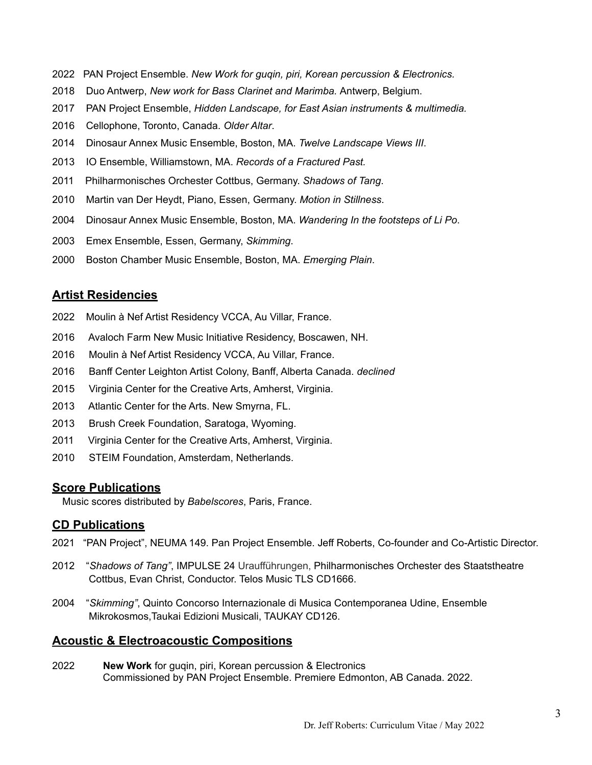- 2022 PAN Project Ensemble. *New Work for guqin, piri, Korean percussion & Electronics.*
- 2018 Duo Antwerp, *New work for Bass Clarinet and Marimba.* Antwerp, Belgium.
- 2017 PAN Project Ensemble, *Hidden Landscape, for East Asian instruments & multimedia.*
- 2016Cellophone, Toronto, Canada. *Older Altar*.
- 2014 Dinosaur Annex Music Ensemble, Boston, MA. *Twelve Landscape Views III*.
- 2013 IO Ensemble, Williamstown, MA. *Records of a Fractured Past.*
- 2011 Philharmonisches Orchester Cottbus, Germany. *Shadows of Tang*.
- 2010 Martin van Der Heydt, Piano, Essen, Germany. *Motion in Stillness*.
- 2004 Dinosaur Annex Music Ensemble, Boston, MA. *Wandering In the footsteps of Li Po*.
- 2003 Emex Ensemble, Essen, Germany, *Skimming*.
- 2000 Boston Chamber Music Ensemble, Boston, MA. *Emerging Plain*.

# **Artist Residencies**

- 2022 Moulin à Nef Artist Residency VCCA, Au Villar, France.
- 2016 Avaloch Farm New Music Initiative Residency, Boscawen, NH.
- 2016 Moulin à Nef Artist Residency VCCA, Au Villar, France.
- 2016 Banff Center Leighton Artist Colony, Banff, Alberta Canada. *declined*
- 2015 Virginia Center for the Creative Arts, Amherst, Virginia.
- 2013 Atlantic Center for the Arts. New Smyrna, FL.
- 2013 Brush Creek Foundation, Saratoga, Wyoming.
- 2011 Virginia Center for the Creative Arts, Amherst, Virginia.
- 2010 STEIM Foundation, Amsterdam, Netherlands.

# **Score Publications**

Music scores distributed by *Babelscores*, Paris, France.

# **CD Publications**

- 2021 "PAN Project", NEUMA 149. Pan Project Ensemble. Jeff Roberts, Co-founder and Co-Artistic Director.
- 2012 "*Shadows of Tang"*, IMPULSE 24 Uraufführungen, Philharmonisches Orchester des Staatstheatre Cottbus, Evan Christ, Conductor. Telos Music TLS CD1666.
- 2004 "*Skimming"*, Quinto Concorso Internazionale di Musica Contemporanea Udine, Ensemble Mikrokosmos,Taukai Edizioni Musicali, TAUKAY CD126.

## **Acoustic & Electroacoustic Compositions**

2022 **New Work** for guqin, piri, Korean percussion & Electronics Commissioned by PAN Project Ensemble. Premiere Edmonton, AB Canada. 2022.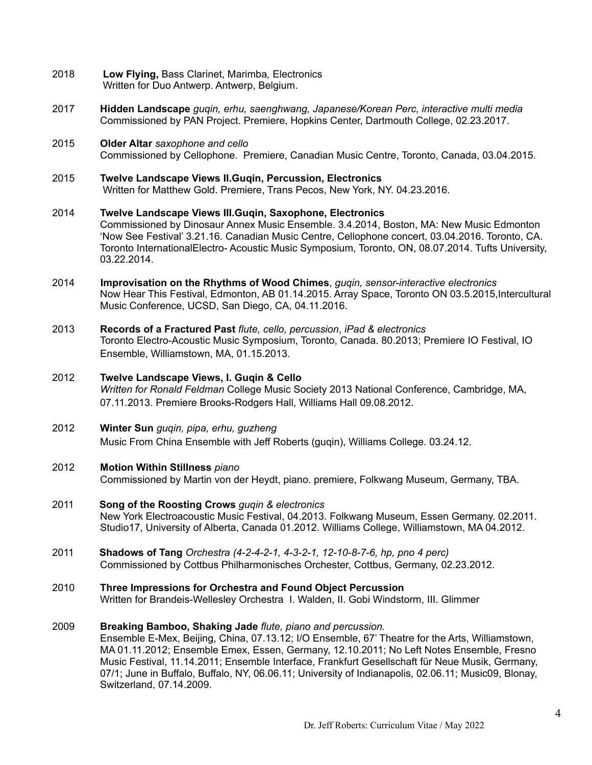- 2018 **Low Flying,** Bass Clarinet, Marimba*,* Electronics Written for Duo Antwerp. Antwerp, Belgium.
- 2017 **Hidden Landscape** *guqin, erhu, saenghwang, Japanese/Korean Perc, interactive multi media* Commissioned by PAN Project. Premiere, Hopkins Center, Dartmouth College, 02.23.2017.
- 2015 **Older Altar** *saxophone and cello* Commissioned by Cellophone. Premiere, Canadian Music Centre, Toronto, Canada, 03.04.2015.
- 2015 **Twelve Landscape Views II.Guqin, Percussion, Electronics** Written for Matthew Gold. Premiere, Trans Pecos, New York, NY. 04.23.2016.
- 2014 **Twelve Landscape Views III.Guqin, Saxophone, Electronics** Commissioned by Dinosaur Annex Music Ensemble. 3.4.2014, Boston, MA: New Music Edmonton 'Now See Festival' 3.21.16. Canadian Music Centre, Cellophone concert, 03.04.2016. Toronto, CA. Toronto InternationalElectro- Acoustic Music Symposium, Toronto, ON, 08.07.2014. Tufts University, 03.22.2014.
- 2014 **Improvisation on the Rhythms of Wood Chimes**, *guqin, sensor-interactive electronics* Now Hear This Festival, Edmonton, AB 01.14.2015. Array Space, Toronto ON 03.5.2015,Intercultural Music Conference, UCSD, San Diego, CA, 04.11.2016.
- 2013 **Records of a Fractured Past** *flute, cello, percussion*, *iPad & electronics* Toronto Electro-Acoustic Music Symposium, Toronto, Canada. 80.2013; Premiere IO Festival, IO Ensemble, Williamstown, MA, 01.15.2013.
- 2012 **Twelve Landscape Views, I. Guqin & Cello** *Written for Ronald Feldman* College Music Society 2013 National Conference, Cambridge, MA, 07.11.2013. Premiere Brooks-Rodgers Hall, Williams Hall 09.08.2012.
- 2012 **Winter Sun** *guqin, pipa, erhu, guzheng* Music From China Ensemble with Jeff Roberts (guqin), Williams College. 03.24.12.

#### 2012 **Motion Within Stillness** *piano*

Commissioned by Martin von der Heydt, piano. premiere, Folkwang Museum, Germany, TBA.

- 2011 **Song of the Roosting Crows** *guqin & electronics* New York Electroacoustic Music Festival, 04.2013. Folkwang Museum, Essen Germany. 02.2011. Studio17, University of Alberta, Canada 01.2012. Williams College, Williamstown, MA 04.2012.
- 2011 **Shadows of Tang** *Orchestra (4-2-4-2-1, 4-3-2-1, 12-10-8-7-6, hp, pno 4 perc)* Commissioned by Cottbus Philharmonisches Orchester, Cottbus, Germany, 02.23.2012.
- 2010 **Three Impressions for Orchestra and Found Object Percussion** Written for Brandeis-Wellesley OrchestraI. Walden, II. Gobi Windstorm, III. Glimmer

#### 2009 **Breaking Bamboo, Shaking Jade** *flute, piano and percussion.*

Ensemble E-Mex, Beijing, China, 07.13.12; I/O Ensemble, 67' Theatre for the Arts, Williamstown, MA 01.11.2012; Ensemble Emex, Essen, Germany, 12.10.2011; No Left Notes Ensemble, Fresno Music Festival, 11.14.2011; Ensemble Interface, Frankfurt Gesellschaft für Neue Musik, Germany, 07/1; June in Buffalo, Buffalo, NY, 06.06.11; University of Indianapolis, 02.06.11; Music09, Blonay, Switzerland, 07.14.2009.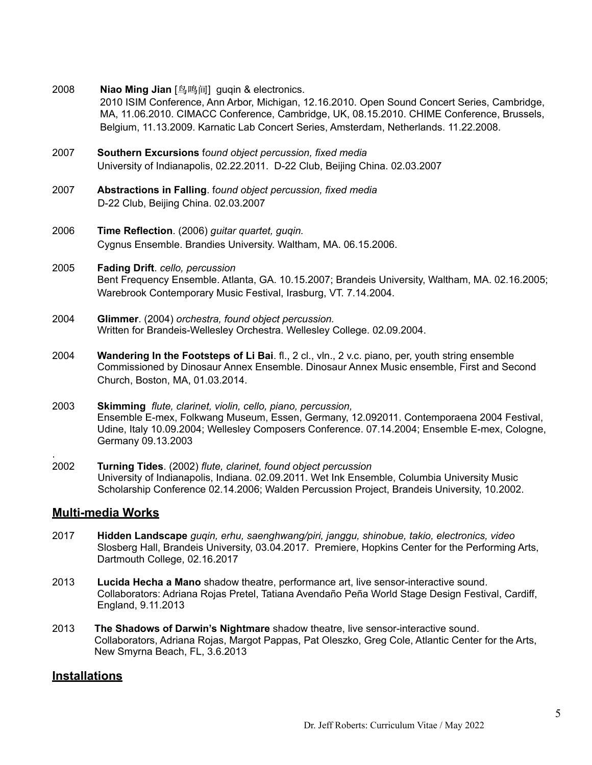2008 **Niao Ming Jian** [鸟鸣间] guqin & electronics.

2010 ISIM Conference, Ann Arbor, Michigan, 12.16.2010. Open Sound Concert Series, Cambridge, MA, 11.06.2010. CIMACC Conference, Cambridge, UK, 08.15.2010. CHIME Conference, Brussels, Belgium, 11.13.2009. Karnatic Lab Concert Series, Amsterdam, Netherlands. 11.22.2008.

- 2007 **Southern Excursions** f*ound object percussion, fixed media* University of Indianapolis, 02.22.2011. D-22 Club, Beijing China. 02.03.2007
- 2007 **Abstractions in Falling**. f*ound object percussion, fixed media*D-22 Club, Beijing China. 02.03.2007
- 2006 **Time Reflection**. (2006) *guitar quartet, guqin.*  Cygnus Ensemble. Brandies University. Waltham, MA. 06.15.2006.
- 2005 **Fading Drift**. *cello, percussion* Bent Frequency Ensemble. Atlanta, GA. 10.15.2007; Brandeis University, Waltham, MA. 02.16.2005; Warebrook Contemporary Music Festival, Irasburg, VT. 7.14.2004.
- 2004 **Glimmer**. (2004) *orchestra, found object percussion.* Written for Brandeis-Wellesley Orchestra. Wellesley College. 02.09.2004.
- 2004 **Wandering In the Footsteps of Li Bai**. fl., 2 cl., vln., 2 v.c. piano, per, youth string ensemble Commissioned by Dinosaur Annex Ensemble. Dinosaur Annex Music ensemble, First and Second Church, Boston, MA, 01.03.2014.
- 2003 **Skimming** *flute, clarinet, violin, cello, piano, percussion,*  Ensemble E-mex, Folkwang Museum, Essen, Germany, 12.092011. Contemporaena 2004 Festival, Udine, Italy 10.09.2004; Wellesley Composers Conference. 07.14.2004; Ensemble E-mex, Cologne, Germany 09.13.2003
- 2002 **Turning Tides**. (2002) *flute, clarinet, found object percussion* University of Indianapolis, Indiana. 02.09.2011. Wet Ink Ensemble, Columbia University Music Scholarship Conference 02.14.2006; Walden Percussion Project, Brandeis University, 10.2002.

## **Multi-media Works**

.

- 2017 **Hidden Landscape** *guqin, erhu, saenghwang/piri, janggu, shinobue, takio, electronics, video* Slosberg Hall, Brandeis University, 03.04.2017. Premiere, Hopkins Center for the Performing Arts, Dartmouth College, 02.16.2017
- 2013 **Lucida Hecha a Mano** shadow theatre, performance art, live sensor-interactive sound. Collaborators: Adriana Rojas Pretel, Tatiana Avendaño Peña World Stage Design Festival, Cardiff, England, 9.11.2013
- 2013 **The Shadows of Darwin's Nightmare** shadow theatre, live sensor-interactive sound. Collaborators, Adriana Rojas, Margot Pappas, Pat Oleszko, Greg Cole, Atlantic Center for the Arts, New Smyrna Beach, FL, 3.6.2013

## **Installations**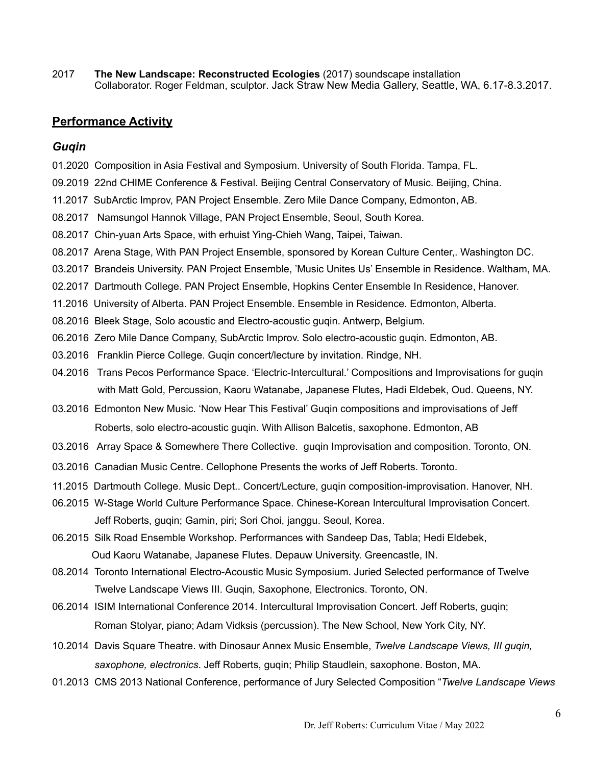2017 **The New Landscape: Reconstructed Ecologies** (2017) soundscape installation Collaborator. Roger Feldman, sculptor. Jack Straw New Media Gallery, Seattle, WA, 6.17-8.3.2017.

## **Performance Activity**

#### *Guqin*

- 01.2020 Composition in Asia Festival and Symposium. University of South Florida. Tampa, FL.
- 09.2019 22nd CHIME Conference & Festival. Beijing Central Conservatory of Music. Beijing, China.
- 11.2017 SubArctic Improv, PAN Project Ensemble. Zero Mile Dance Company, Edmonton, AB.
- 08.2017 Namsungol Hannok Village, PAN Project Ensemble, Seoul, South Korea.
- 08.2017 Chin-yuan Arts Space, with erhuist Ying-Chieh Wang, Taipei, Taiwan.
- 08.2017 Arena Stage, With PAN Project Ensemble, sponsored by Korean Culture Center,. Washington DC.
- 03.2017 Brandeis University. PAN Project Ensemble, 'Music Unites Us' Ensemble in Residence. Waltham, MA.
- 02.2017 Dartmouth College. PAN Project Ensemble, Hopkins Center Ensemble In Residence, Hanover.
- 11.2016 University of Alberta. PAN Project Ensemble. Ensemble in Residence. Edmonton, Alberta.
- 08.2016 Bleek Stage, Solo acoustic and Electro-acoustic guqin. Antwerp, Belgium.
- 06.2016 Zero Mile Dance Company, SubArctic Improv. Solo electro-acoustic guqin. Edmonton, AB.
- 03.2016 Franklin Pierce College. Guqin concert/lecture by invitation. Rindge, NH.
- 04.2016 Trans Pecos Performance Space. 'Electric-Intercultural.' Compositions and Improvisations for guqin with Matt Gold, Percussion, Kaoru Watanabe, Japanese Flutes, Hadi Eldebek, Oud. Queens, NY.
- 03.2016 Edmonton New Music. 'Now Hear This Festival' Guqin compositions and improvisations of Jeff Roberts, solo electro-acoustic guqin. With Allison Balcetis, saxophone. Edmonton, AB
- 03.2016 Array Space & Somewhere There Collective. guqin Improvisation and composition. Toronto, ON.
- 03.2016 Canadian Music Centre. Cellophone Presents the works of Jeff Roberts. Toronto.
- 11.2015 Dartmouth College. Music Dept.. Concert/Lecture, guqin composition-improvisation. Hanover, NH.
- 06.2015 W-Stage World Culture Performance Space. Chinese-Korean Intercultural Improvisation Concert. Jeff Roberts, guqin; Gamin, piri; Sori Choi, janggu. Seoul, Korea.
- 06.2015 Silk Road Ensemble Workshop. Performances with Sandeep Das, Tabla; Hedi Eldebek, Oud Kaoru Watanabe, Japanese Flutes. Depauw University. Greencastle, IN.
- 08.2014Toronto International Electro-Acoustic Music Symposium. Juried Selected performance of Twelve Twelve Landscape Views III. Guqin, Saxophone, Electronics. Toronto, ON.
- 06.2014 ISIM International Conference 2014. Intercultural Improvisation Concert. Jeff Roberts, guqin; Roman Stolyar, piano; Adam Vidksis (percussion). The New School, New York City, NY.
- 10.2014 Davis Square Theatre. with Dinosaur Annex Music Ensemble, *Twelve Landscape Views, III guqin, saxophone, electronics*. Jeff Roberts, guqin; Philip Staudlein, saxophone. Boston, MA.
- 01.2013 CMS 2013 National Conference, performance of Jury Selected Composition "*Twelve Landscape Views*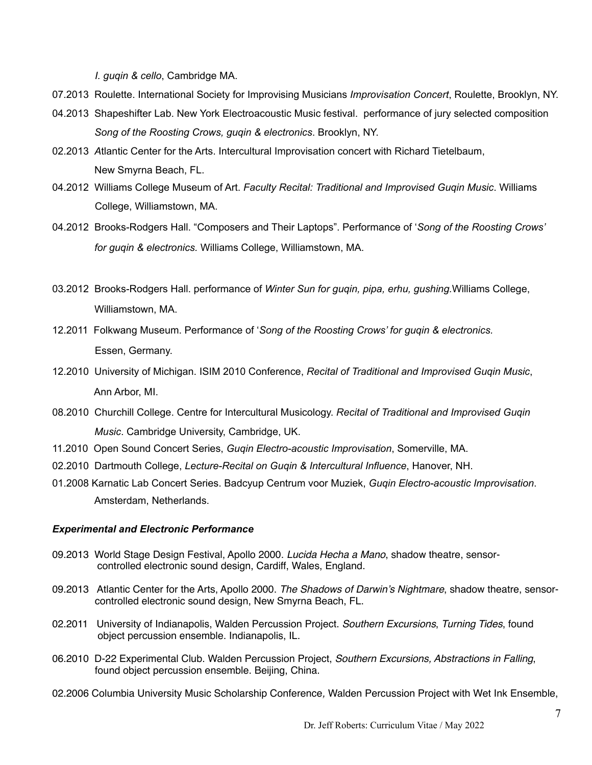*I. guqin & cello*, Cambridge MA.

07.2013 Roulette. International Society for Improvising Musicians *Improvisation Concert*, Roulette, Brooklyn, NY.

- 04.2013Shapeshifter Lab. New York Electroacoustic Music festival. performance of jury selected composition *Song of the Roosting Crows, guqin & electronics*. Brooklyn, NY.
- 02.2013 *A*tlantic Center for the Arts. Intercultural Improvisation concert with Richard Tietelbaum, New Smyrna Beach, FL.
- 04.2012 Williams College Museum of Art. *Faculty Recital: Traditional and Improvised Guqin Music*. Williams College, Williamstown, MA.
- 04.2012 Brooks-Rodgers Hall. "Composers and Their Laptops". Performance of '*Song of the Roosting Crows' for guqin & electronics.* Williams College, Williamstown, MA.
- 03.2012 Brooks-Rodgers Hall. performance of *Winter Sun for guqin, pipa, erhu, gushing.*Williams College, Williamstown, MA.
- 12.2011 Folkwang Museum. Performance of '*Song of the Roosting Crows' for guqin & electronics.*  Essen, Germany.
- 12.2010 University of Michigan. ISIM 2010 Conference, *Recital of Traditional and Improvised Guqin Music*, Ann Arbor, MI.
- 08.2010 Churchill College. Centre for Intercultural Musicology. *Recital of Traditional and Improvised Guqin Music*. Cambridge University, Cambridge, UK.
- 11.2010 Open Sound Concert Series, *Guqin Electro-acoustic Improvisation*, Somerville, MA.
- 02.2010 Dartmouth College, *Lecture-Recital on Guqin & Intercultural Influence*, Hanover, NH.
- 01.2008 Karnatic Lab Concert Series. Badcyup Centrum voor Muziek, *Guqin Electro-acoustic Improvisation*. Amsterdam, Netherlands.

## *Experimental and Electronic Performance*

- 09.2013 World Stage Design Festival, Apollo 2000. *Lucida Hecha a Mano*, shadow theatre, sensor controlled electronic sound design, Cardiff, Wales, England.
- 09.2013 Atlantic Center for the Arts, Apollo 2000. *The Shadows of Darwin's Nightmare*, shadow theatre, sensor controlled electronic sound design, New Smyrna Beach, FL.
- 02.2011 University of Indianapolis, Walden Percussion Project. *Southern Excursions*, *Turning Tides*, found object percussion ensemble. Indianapolis, IL.
- 06.2010D-22 Experimental Club. Walden Percussion Project, *Southern Excursions, Abstractions in Falling*, found object percussion ensemble. Beijing, China.
- 02.2006 Columbia University Music Scholarship Conference*,* Walden Percussion Project with Wet Ink Ensemble,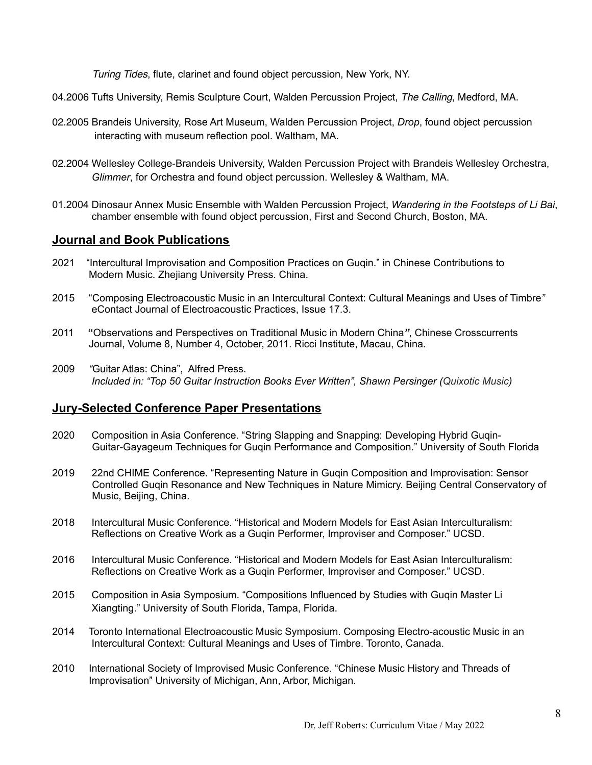*Turing Tides*, flute, clarinet and found object percussion, New York, NY.

- 04.2006 Tufts University, Remis Sculpture Court, Walden Percussion Project, *The Calling*, Medford, MA.
- 02.2005 Brandeis University, Rose Art Museum, Walden Percussion Project, *Drop*, found object percussion interacting with museum reflection pool. Waltham, MA.
- 02.2004 Wellesley College-Brandeis University, Walden Percussion Project with Brandeis Wellesley Orchestra, *Glimmer*, for Orchestra and found object percussion. Wellesley & Waltham, MA.
- 01.2004 Dinosaur Annex Music Ensemble with Walden Percussion Project, *Wandering in the Footsteps of Li Bai*, chamber ensemble with found object percussion, First and Second Church, Boston, MA.

#### **Journal and Book Publications**

- 2021 "Intercultural Improvisation and Composition Practices on Guqin." in Chinese Contributions to Modern Music. Zhejiang University Press. China.
- 2015 "Composing Electroacoustic Music in an Intercultural Context: Cultural Meanings and Uses of Timbre*"* eContact Journal of Electroacoustic Practices, Issue 17.3.
- 2011**"**Observations and Perspectives on Traditional Music in Modern China*"*, Chinese Crosscurrents Journal, Volume 8, Number 4, October, 2011. Ricci Institute, Macau, China.
- 2009 *"*Guitar Atlas: China", Alfred Press. *Included in: "Top 50 Guitar Instruction Books Ever Written", Shawn Persinger (Quixotic Music)*

# **Jury-Selected Conference Paper Presentations**

- 2020 Composition in Asia Conference. "String Slapping and Snapping: Developing Hybrid Guqin- Guitar-Gayageum Techniques for Guqin Performance and Composition." University of South Florida
- 2019 22nd CHIME Conference. "Representing Nature in Guqin Composition and Improvisation: Sensor Controlled Guqin Resonance and New Techniques in Nature Mimicry. Beijing Central Conservatory of Music, Beijing, China.
- 2018 Intercultural Music Conference. "Historical and Modern Models for East Asian Interculturalism: Reflections on Creative Work as a Guqin Performer, Improviser and Composer." UCSD.
- 2016 Intercultural Music Conference. "Historical and Modern Models for East Asian Interculturalism: Reflections on Creative Work as a Guqin Performer, Improviser and Composer." UCSD.
- 2015 Composition in Asia Symposium. "Compositions Influenced by Studies with Guqin Master Li Xiangting." University of South Florida, Tampa, Florida.
- 2014 Toronto International Electroacoustic Music Symposium. Composing Electro-acoustic Music in an Intercultural Context: Cultural Meanings and Uses of Timbre. Toronto, Canada.
- 2010 International Society of Improvised Music Conference. "Chinese Music History and Threads of Improvisation" University of Michigan, Ann, Arbor, Michigan.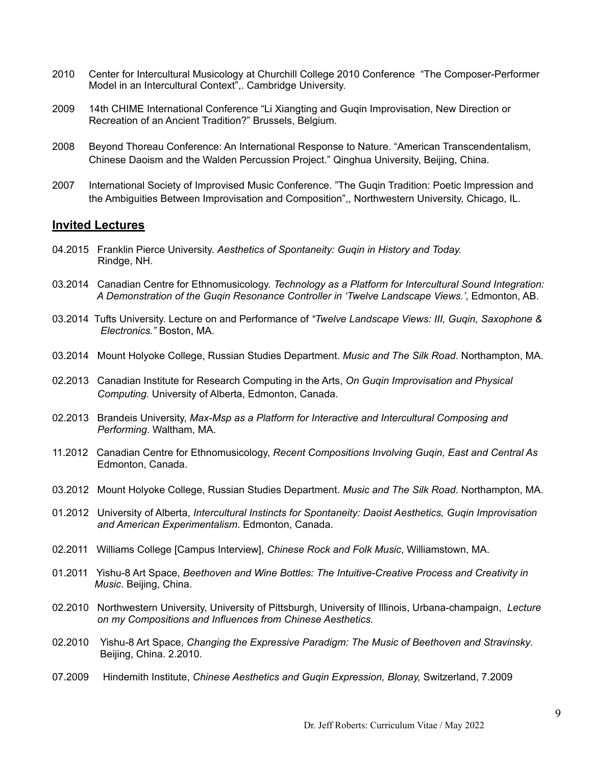- 2010 Center for Intercultural Musicology at Churchill College 2010 Conference "The Composer-Performer Model in an Intercultural Context",. Cambridge University.
- 2009 14th CHIME International Conference "Li Xiangting and Guqin Improvisation, New Direction or Recreation of an Ancient Tradition?" Brussels, Belgium.
- 2008 Beyond Thoreau Conference: An International Response to Nature. "American Transcendentalism, Chinese Daoism and the Walden Percussion Project." Qinghua University, Beijing, China.
- 2007 International Society of Improvised Music Conference. "The Guqin Tradition: Poetic Impression and the Ambiguities Between Improvisation and Composition",, Northwestern University, Chicago, IL.

#### **Invited Lectures**

- 04.2015 Franklin Pierce University. *Aesthetics of Spontaneity: Guqin in History and Today.* Rindge, NH.
- 03.2014 Canadian Centre for Ethnomusicology. *Technology as a Platform for Intercultural Sound Integration: A Demonstration of the Guqin Resonance Controller in 'Twelve Landscape Views.'*, Edmonton, AB.
- 03.2014 Tufts University. Lecture on and Performance of *"Twelve Landscape Views: III, Guqin, Saxophone & Electronics."* Boston, MA.
- 03.2014 Mount Holyoke College, Russian Studies Department. *Music and The Silk Road*. Northampton, MA.
- 02.2013 Canadian Institute for Research Computing in the Arts, *On Guqin Improvisation and Physical Computing*. University of Alberta, Edmonton, Canada.
- 02.2013 Brandeis University, *Max-Msp as a Platform for Interactive and Intercultural Composing and Performing*. Waltham, MA.
- 11.2012 Canadian Centre for Ethnomusicology, *Recent Compositions Involving Guqin, East and Central As*  Edmonton, Canada.
- 03.2012 Mount Holyoke College, Russian Studies Department. *Music and The Silk Road*. Northampton, MA.
- 01.2012 University of Alberta, *Intercultural Instincts for Spontaneity: Daoist Aesthetics, Guqin Improvisation and American Experimentalism*. Edmonton, Canada.
- 02.2011 Williams College [Campus Interview], *Chinese Rock and Folk Music*, Williamstown, MA.
- 01.2011 Yishu-8 Art Space, *Beethoven and Wine Bottles: The Intuitive-Creative Process and Creativity in Music*. Beijing, China.
- 02.2010 Northwestern University, University of Pittsburgh, University of Illinois, Urbana-champaign, *Lecture on my Compositions and Influences from Chinese Aesthetics.*
- 02.2010Yishu-8 Art Space, *Changing the Expressive Paradigm: The Music of Beethoven and Stravinsky*. Beijing, China. 2.2010.
- 07.2009 Hindemith Institute, *Chinese Aesthetics and Guqin Expression, Blonay,* Switzerland, 7.2009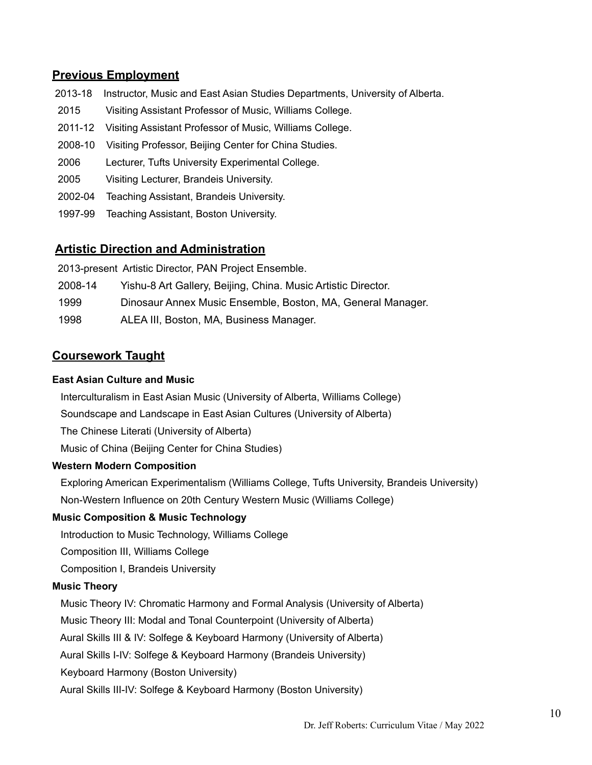# **Previous Employment**

- 2013-18Instructor, Music and East Asian Studies Departments, University of Alberta.
- 2015 Visiting Assistant Professor of Music, Williams College.
- 2011-12 Visiting Assistant Professor of Music, Williams College.
- 2008-10 Visiting Professor, Beijing Center for China Studies.
- 2006 Lecturer, Tufts University Experimental College.
- 2005 Visiting Lecturer, Brandeis University.
- 2002-04 Teaching Assistant, Brandeis University.
- 1997-99 Teaching Assistant, Boston University.

## **Artistic Direction and Administration**

2013-present Artistic Director, PAN Project Ensemble.

- 2008-14 Yishu-8 Art Gallery, Beijing, China. Music Artistic Director.
- 1999 Dinosaur Annex Music Ensemble, Boston, MA, General Manager.
- 1998 ALEA III, Boston, MA, Business Manager.

## **Coursework Taught**

#### **East Asian Culture and Music**

Interculturalism in East Asian Music (University of Alberta, Williams College)

Soundscape and Landscape in East Asian Cultures (University of Alberta)

The Chinese Literati (University of Alberta)

Music of China (Beijing Center for China Studies)

#### **Western Modern Composition**

Exploring American Experimentalism (Williams College, Tufts University, Brandeis University) Non-Western Influence on 20th Century Western Music (Williams College)

## **Music Composition & Music Technology**

Introduction to Music Technology, Williams College

Composition III, Williams College

Composition I, Brandeis University

#### **Music Theory**

Music Theory IV: Chromatic Harmony and Formal Analysis (University of Alberta)

**Music Theory III: Modal and Tonal Counterpoint (University of Alberta)** 

Aural Skills III & IV: Solfege & Keyboard Harmony (University of Alberta)

Aural Skills I-IV: Solfege & Keyboard Harmony (Brandeis University)

Keyboard Harmony (Boston University)

Aural Skills III-IV: Solfege & Keyboard Harmony (Boston University)